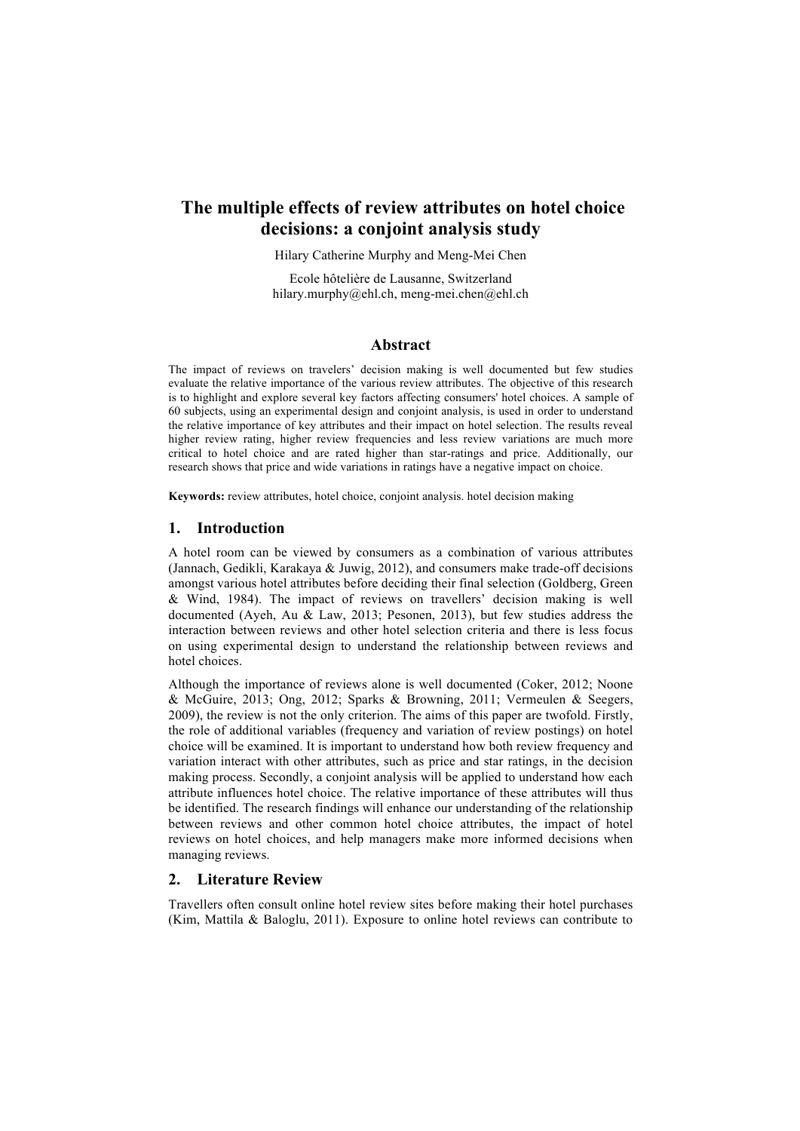# **The multiple effects of review attributes on hotel choice decisions: a conjoint analysis study**

Hilary Catherine Murphy and Meng-Mei Chen

Ecole hôtelière de Lausanne, Switzerland hilary.murphy@ehl.ch, meng-mei.chen@ehl.ch

# **Abstract**

The impact of reviews on travelers' decision making is well documented but few studies evaluate the relative importance of the various review attributes. The objective of this research is to highlight and explore several key factors affecting consumers' hotel choices. A sample of 60 subjects, using an experimental design and conjoint analysis, is used in order to understand the relative importance of key attributes and their impact on hotel selection. The results reveal higher review rating, higher review frequencies and less review variations are much more critical to hotel choice and are rated higher than star-ratings and price. Additionally, our research shows that price and wide variations in ratings have a negative impact on choice.

**Keywords:** review attributes, hotel choice, conjoint analysis. hotel decision making

### **1. Introduction**

A hotel room can be viewed by consumers as a combination of various attributes (Jannach, Gedikli, Karakaya & Juwig, 2012), and consumers make trade-off decisions amongst various hotel attributes before deciding their final selection (Goldberg, Green & Wind, 1984). The impact of reviews on travellers' decision making is well documented (Ayeh, Au & Law, 2013; Pesonen, 2013), but few studies address the interaction between reviews and other hotel selection criteria and there is less focus on using experimental design to understand the relationship between reviews and hotel choices.

Although the importance of reviews alone is well documented (Coker, 2012; Noone & McGuire, 2013; Ong, 2012; Sparks & Browning, 2011; Vermeulen & Seegers, 2009), the review is not the only criterion. The aims of this paper are twofold. Firstly, the role of additional variables (frequency and variation of review postings) on hotel choice will be examined. It is important to understand how both review frequency and variation interact with other attributes, such as price and star ratings, in the decision making process. Secondly, a conjoint analysis will be applied to understand how each attribute influences hotel choice. The relative importance of these attributes will thus be identified. The research findings will enhance our understanding of the relationship between reviews and other common hotel choice attributes, the impact of hotel reviews on hotel choices, and help managers make more informed decisions when managing reviews.

## **2. Literature Review**

Travellers often consult online hotel review sites before making their hotel purchases (Kim, Mattila & Baloglu, 2011). Exposure to online hotel reviews can contribute to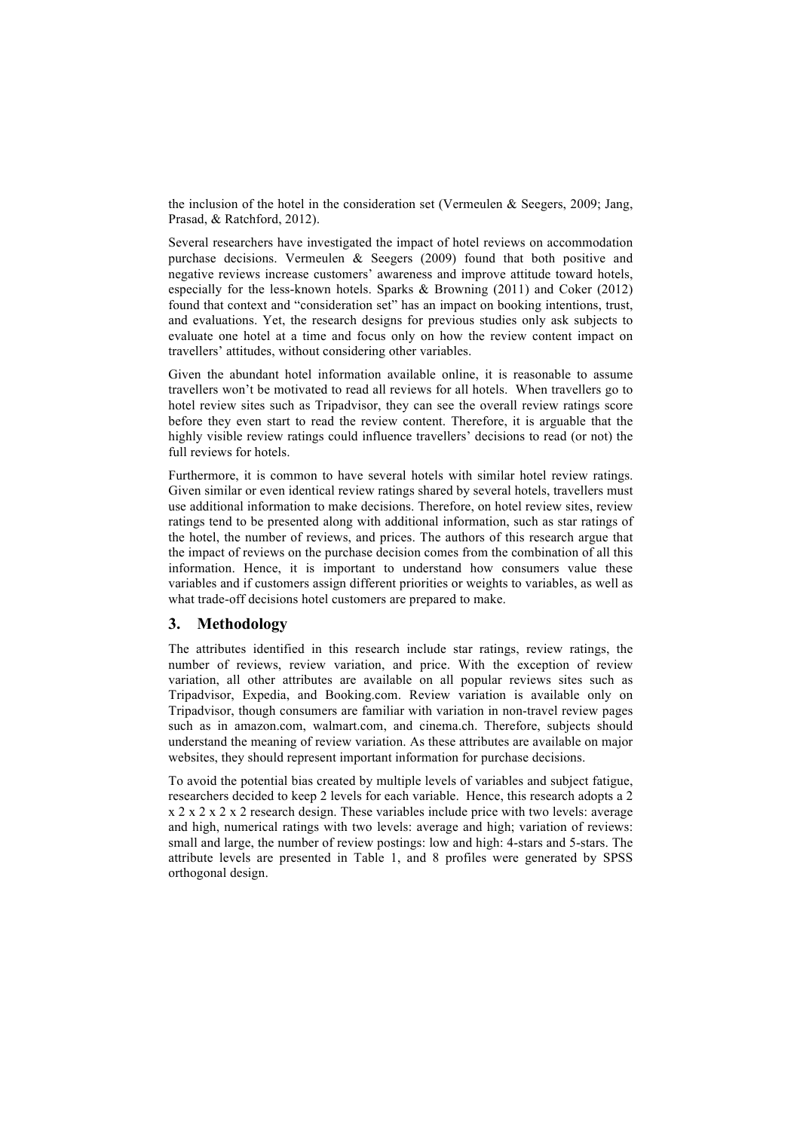the inclusion of the hotel in the consideration set (Vermeulen & Seegers, 2009; Jang, Prasad, & Ratchford, 2012).

Several researchers have investigated the impact of hotel reviews on accommodation purchase decisions. Vermeulen & Seegers (2009) found that both positive and negative reviews increase customers' awareness and improve attitude toward hotels, especially for the less-known hotels. Sparks & Browning (2011) and Coker (2012) found that context and "consideration set" has an impact on booking intentions, trust, and evaluations. Yet, the research designs for previous studies only ask subjects to evaluate one hotel at a time and focus only on how the review content impact on travellers' attitudes, without considering other variables.

Given the abundant hotel information available online, it is reasonable to assume travellers won't be motivated to read all reviews for all hotels. When travellers go to hotel review sites such as Tripadvisor, they can see the overall review ratings score before they even start to read the review content. Therefore, it is arguable that the highly visible review ratings could influence travellers' decisions to read (or not) the full reviews for hotels.

Furthermore, it is common to have several hotels with similar hotel review ratings. Given similar or even identical review ratings shared by several hotels, travellers must use additional information to make decisions. Therefore, on hotel review sites, review ratings tend to be presented along with additional information, such as star ratings of the hotel, the number of reviews, and prices. The authors of this research argue that the impact of reviews on the purchase decision comes from the combination of all this information. Hence, it is important to understand how consumers value these variables and if customers assign different priorities or weights to variables, as well as what trade-off decisions hotel customers are prepared to make.

#### **3. Methodology**

The attributes identified in this research include star ratings, review ratings, the number of reviews, review variation, and price. With the exception of review variation, all other attributes are available on all popular reviews sites such as Tripadvisor, Expedia, and Booking.com. Review variation is available only on Tripadvisor, though consumers are familiar with variation in non-travel review pages such as in amazon.com, walmart.com, and cinema.ch. Therefore, subjects should understand the meaning of review variation. As these attributes are available on major websites, they should represent important information for purchase decisions.

To avoid the potential bias created by multiple levels of variables and subject fatigue, researchers decided to keep 2 levels for each variable. Hence, this research adopts a 2 x 2 x 2 x 2 x 2 research design. These variables include price with two levels: average and high, numerical ratings with two levels: average and high; variation of reviews: small and large, the number of review postings: low and high: 4-stars and 5-stars. The attribute levels are presented in Table 1, and 8 profiles were generated by SPSS orthogonal design.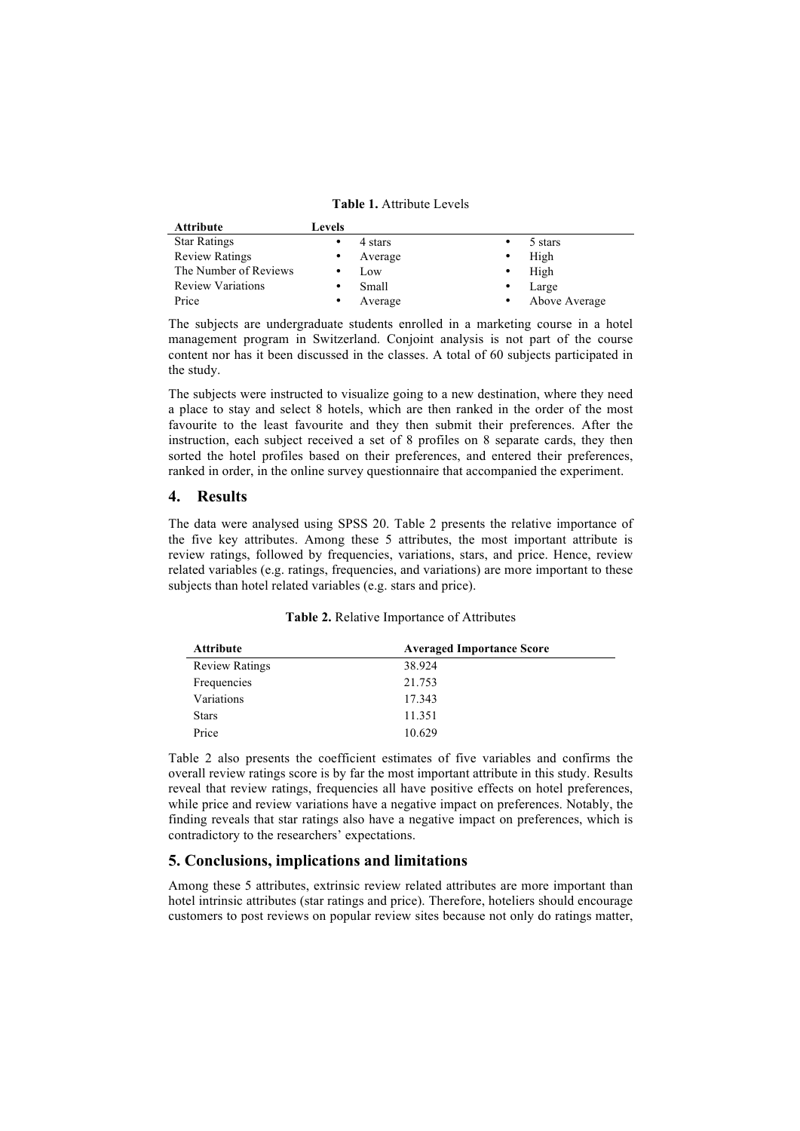**Table 1.** Attribute Levels

| <b>Attribute</b>         | Levels    |         |           |               |
|--------------------------|-----------|---------|-----------|---------------|
| <b>Star Ratings</b>      |           | 4 stars |           | 5 stars       |
| <b>Review Ratings</b>    | ٠         | Average | ٠         | High          |
| The Number of Reviews    | ٠         | Low     |           | High          |
| <b>Review Variations</b> |           | Small   | ٠         | Large         |
| Price                    | $\bullet$ | Average | $\bullet$ | Above Average |

The subjects are undergraduate students enrolled in a marketing course in a hotel management program in Switzerland. Conjoint analysis is not part of the course content nor has it been discussed in the classes. A total of 60 subjects participated in the study.

The subjects were instructed to visualize going to a new destination, where they need a place to stay and select 8 hotels, which are then ranked in the order of the most favourite to the least favourite and they then submit their preferences. After the instruction, each subject received a set of 8 profiles on 8 separate cards, they then sorted the hotel profiles based on their preferences, and entered their preferences, ranked in order, in the online survey questionnaire that accompanied the experiment.

#### **4. Results**

The data were analysed using SPSS 20. Table 2 presents the relative importance of the five key attributes. Among these 5 attributes, the most important attribute is review ratings, followed by frequencies, variations, stars, and price. Hence, review related variables (e.g. ratings, frequencies, and variations) are more important to these subjects than hotel related variables (e.g. stars and price).

| <b>Attribute</b>      | <b>Averaged Importance Score</b> |
|-----------------------|----------------------------------|
| <b>Review Ratings</b> | 38.924                           |
| Frequencies           | 21.753                           |
| Variations            | 17.343                           |
| <b>Stars</b>          | 11.351                           |
| Price                 | 10.629                           |

Table 2 also presents the coefficient estimates of five variables and confirms the overall review ratings score is by far the most important attribute in this study. Results reveal that review ratings, frequencies all have positive effects on hotel preferences, while price and review variations have a negative impact on preferences. Notably, the finding reveals that star ratings also have a negative impact on preferences, which is contradictory to the researchers' expectations.

# **5. Conclusions, implications and limitations**

Among these 5 attributes, extrinsic review related attributes are more important than hotel intrinsic attributes (star ratings and price). Therefore, hoteliers should encourage customers to post reviews on popular review sites because not only do ratings matter,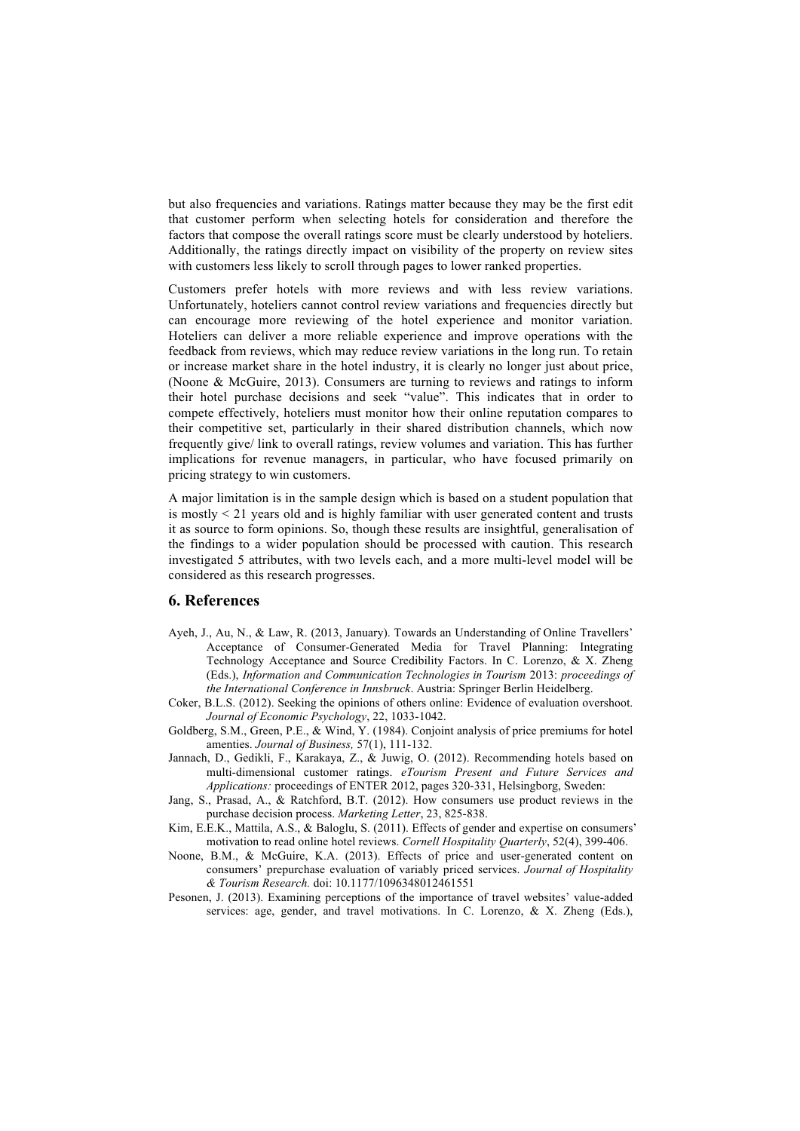but also frequencies and variations. Ratings matter because they may be the first edit that customer perform when selecting hotels for consideration and therefore the factors that compose the overall ratings score must be clearly understood by hoteliers. Additionally, the ratings directly impact on visibility of the property on review sites with customers less likely to scroll through pages to lower ranked properties.

Customers prefer hotels with more reviews and with less review variations. Unfortunately, hoteliers cannot control review variations and frequencies directly but can encourage more reviewing of the hotel experience and monitor variation. Hoteliers can deliver a more reliable experience and improve operations with the feedback from reviews, which may reduce review variations in the long run. To retain or increase market share in the hotel industry, it is clearly no longer just about price, (Noone & McGuire, 2013). Consumers are turning to reviews and ratings to inform their hotel purchase decisions and seek "value". This indicates that in order to compete effectively, hoteliers must monitor how their online reputation compares to their competitive set, particularly in their shared distribution channels, which now frequently give/ link to overall ratings, review volumes and variation. This has further implications for revenue managers, in particular, who have focused primarily on pricing strategy to win customers.

A major limitation is in the sample design which is based on a student population that is mostly < 21 years old and is highly familiar with user generated content and trusts it as source to form opinions. So, though these results are insightful, generalisation of the findings to a wider population should be processed with caution. This research investigated 5 attributes, with two levels each, and a more multi-level model will be considered as this research progresses.

#### **6. References**

- Ayeh, J., Au, N., & Law, R. (2013, January). Towards an Understanding of Online Travellers' Acceptance of Consumer-Generated Media for Travel Planning: Integrating Technology Acceptance and Source Credibility Factors. In C. Lorenzo, & X. Zheng (Eds.), *Information and Communication Technologies in Tourism* 2013: *proceedings of the International Conference in Innsbruck*. Austria: Springer Berlin Heidelberg.
- Coker, B.L.S. (2012). Seeking the opinions of others online: Evidence of evaluation overshoot. *Journal of Economic Psychology*, 22, 1033-1042.
- Goldberg, S.M., Green, P.E., & Wind, Y. (1984). Conjoint analysis of price premiums for hotel amenties. *Journal of Business,* 57(1), 111-132.
- Jannach, D., Gedikli, F., Karakaya, Z., & Juwig, O. (2012). Recommending hotels based on multi-dimensional customer ratings. *eTourism Present and Future Services and Applications:* proceedings of ENTER 2012, pages 320-331, Helsingborg, Sweden:
- Jang, S., Prasad, A., & Ratchford, B.T. (2012). How consumers use product reviews in the purchase decision process. *Marketing Letter*, 23, 825-838.
- Kim, E.E.K., Mattila, A.S., & Baloglu, S. (2011). Effects of gender and expertise on consumers' motivation to read online hotel reviews. *Cornell Hospitality Quarterly*, 52(4), 399-406.
- Noone, B.M., & McGuire, K.A. (2013). Effects of price and user-generated content on consumers' prepurchase evaluation of variably priced services. *Journal of Hospitality & Tourism Research.* doi: 10.1177/1096348012461551
- Pesonen, J. (2013). Examining perceptions of the importance of travel websites' value-added services: age, gender, and travel motivations. In C. Lorenzo, & X. Zheng (Eds.),